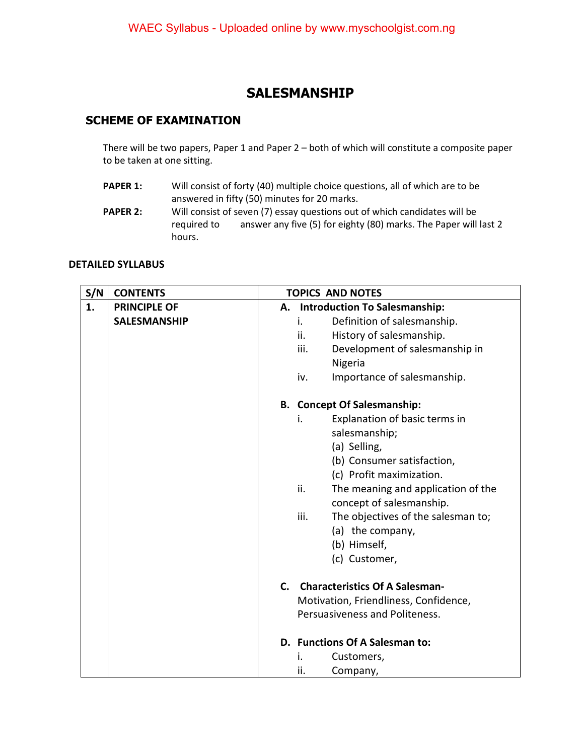## **SALESMANSHIP**

## **SCHEME OF EXAMINATION**

There will be two papers, Paper 1 and Paper 2 – both of which will constitute a composite paper to be taken at one sitting.

- **PAPER 1:** Will consist of forty (40) multiple choice questions, all of which are to be answered in fifty (50) minutes for 20 marks.
- **PAPER 2:** Will consist of seven (7) essay questions out of which candidates will be required to answer any five (5) for eighty (80) marks. The Paper will last 2 hours.

## **DETAILED SYLLABUS**

| S/N | <b>CONTENTS</b>     | <b>TOPICS AND NOTES</b> |                                                                       |  |
|-----|---------------------|-------------------------|-----------------------------------------------------------------------|--|
| 1.  | <b>PRINCIPLE OF</b> |                         | A. Introduction To Salesmanship:                                      |  |
|     | <b>SALESMANSHIP</b> |                         | Definition of salesmanship.<br>i.                                     |  |
|     |                     |                         | History of salesmanship.<br>ii.                                       |  |
|     |                     |                         | Development of salesmanship in<br>iii.                                |  |
|     |                     |                         | Nigeria                                                               |  |
|     |                     |                         | Importance of salesmanship.<br>iv.                                    |  |
|     |                     |                         | <b>B.</b> Concept Of Salesmanship:                                    |  |
|     |                     |                         | Explanation of basic terms in<br>i.                                   |  |
|     |                     |                         | salesmanship;                                                         |  |
|     |                     |                         | (a) Selling,                                                          |  |
|     |                     |                         | (b) Consumer satisfaction,                                            |  |
|     |                     |                         | (c) Profit maximization.                                              |  |
|     |                     |                         | ii.<br>The meaning and application of the<br>concept of salesmanship. |  |
|     |                     |                         | iii.<br>The objectives of the salesman to;                            |  |
|     |                     |                         | (a) the company,                                                      |  |
|     |                     |                         | (b) Himself,                                                          |  |
|     |                     |                         | (c) Customer,                                                         |  |
|     |                     |                         | C. Characteristics Of A Salesman-                                     |  |
|     |                     |                         | Motivation, Friendliness, Confidence,                                 |  |
|     |                     |                         | Persuasiveness and Politeness.                                        |  |
|     |                     |                         | D. Functions Of A Salesman to:                                        |  |
|     |                     |                         | Customers,<br>İ.                                                      |  |
|     |                     |                         | ii.<br>Company,                                                       |  |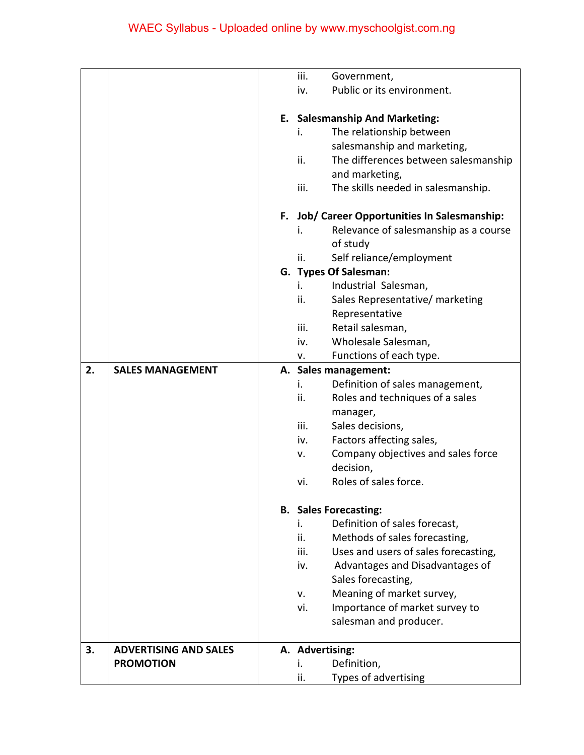|    |                              | iii.            | Government,                                   |
|----|------------------------------|-----------------|-----------------------------------------------|
|    |                              | iv.             | Public or its environment.                    |
|    |                              |                 |                                               |
|    |                              |                 | E. Salesmanship And Marketing:                |
|    |                              | i.              | The relationship between                      |
|    |                              |                 | salesmanship and marketing,                   |
|    |                              | ii.             | The differences between salesmanship          |
|    |                              |                 | and marketing,                                |
|    |                              | iii.            | The skills needed in salesmanship.            |
|    |                              |                 | F. Job/ Career Opportunities In Salesmanship: |
|    |                              | i.              | Relevance of salesmanship as a course         |
|    |                              |                 | of study                                      |
|    |                              | ii.             | Self reliance/employment                      |
|    |                              |                 | G. Types Of Salesman:                         |
|    |                              | i.              | Industrial Salesman,                          |
|    |                              | ii.             | Sales Representative/ marketing               |
|    |                              |                 | Representative                                |
|    |                              | iii.            | Retail salesman,                              |
|    |                              | iv.             | Wholesale Salesman,                           |
|    |                              | v.              | Functions of each type.                       |
| 2. | <b>SALES MANAGEMENT</b>      |                 | A. Sales management:                          |
|    |                              | i.              | Definition of sales management,               |
|    |                              | ii.             | Roles and techniques of a sales               |
|    |                              |                 | manager,                                      |
|    |                              | iii.            | Sales decisions,                              |
|    |                              | iv.             | Factors affecting sales,                      |
|    |                              | v.              | Company objectives and sales force            |
|    |                              |                 | decision,                                     |
|    |                              | vi.             | Roles of sales force.                         |
|    |                              |                 | <b>B.</b> Sales Forecasting:                  |
|    |                              | i.              | Definition of sales forecast,                 |
|    |                              | ii.             | Methods of sales forecasting,                 |
|    |                              | iii.            | Uses and users of sales forecasting,          |
|    |                              | iv.             | Advantages and Disadvantages of               |
|    |                              |                 | Sales forecasting,                            |
|    |                              | v.              | Meaning of market survey,                     |
|    |                              | vi.             | Importance of market survey to                |
|    |                              |                 | salesman and producer.                        |
| 3. | <b>ADVERTISING AND SALES</b> | A. Advertising: |                                               |
|    | <b>PROMOTION</b>             | i.              | Definition,                                   |
|    |                              | ii.             | Types of advertising                          |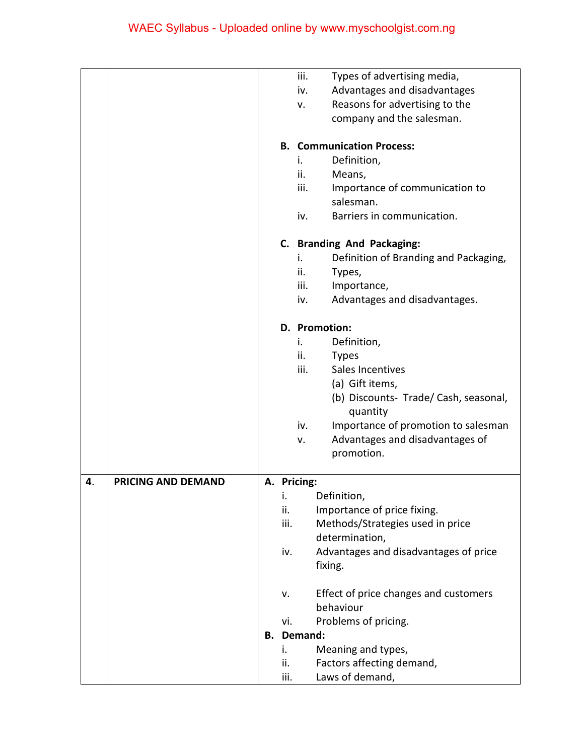|    |                           |      | iii.              | Types of advertising media,           |
|----|---------------------------|------|-------------------|---------------------------------------|
|    |                           |      | iv.               | Advantages and disadvantages          |
|    |                           |      | v.                | Reasons for advertising to the        |
|    |                           |      |                   | company and the salesman.             |
|    |                           |      |                   | <b>B. Communication Process:</b>      |
|    |                           |      | i.                | Definition,                           |
|    |                           |      | ii.               | Means,                                |
|    |                           |      | iii.              | Importance of communication to        |
|    |                           |      |                   | salesman.                             |
|    |                           |      | iv.               | Barriers in communication.            |
|    |                           |      |                   |                                       |
|    |                           |      |                   | C. Branding And Packaging:            |
|    |                           |      | i.                | Definition of Branding and Packaging, |
|    |                           |      | ii.               | Types,                                |
|    |                           |      | iii.              | Importance,                           |
|    |                           |      | iv.               | Advantages and disadvantages.         |
|    |                           |      |                   | D. Promotion:                         |
|    |                           |      | i.                | Definition,                           |
|    |                           |      | ii.               | <b>Types</b>                          |
|    |                           |      | iii.              | Sales Incentives                      |
|    |                           |      |                   | (a) Gift items,                       |
|    |                           |      |                   | (b) Discounts- Trade/ Cash, seasonal, |
|    |                           |      |                   | quantity                              |
|    |                           |      | iv.               | Importance of promotion to salesman   |
|    |                           |      | v.                | Advantages and disadvantages of       |
|    |                           |      |                   | promotion.                            |
| 4. | <b>PRICING AND DEMAND</b> |      | A. Pricing:       |                                       |
|    |                           | ι.   |                   | Definition,                           |
|    |                           | ii.  |                   | Importance of price fixing.           |
|    |                           | iii. |                   | Methods/Strategies used in price      |
|    |                           |      |                   | determination,                        |
|    |                           | iv.  |                   | Advantages and disadvantages of price |
|    |                           |      |                   | fixing.                               |
|    |                           | v.   |                   | Effect of price changes and customers |
|    |                           |      |                   | behaviour                             |
|    |                           | vi.  |                   | Problems of pricing.                  |
|    |                           |      | <b>B.</b> Demand: |                                       |
|    |                           | i.   |                   | Meaning and types,                    |
|    |                           | ii.  |                   | Factors affecting demand,             |
|    |                           | iii. |                   | Laws of demand,                       |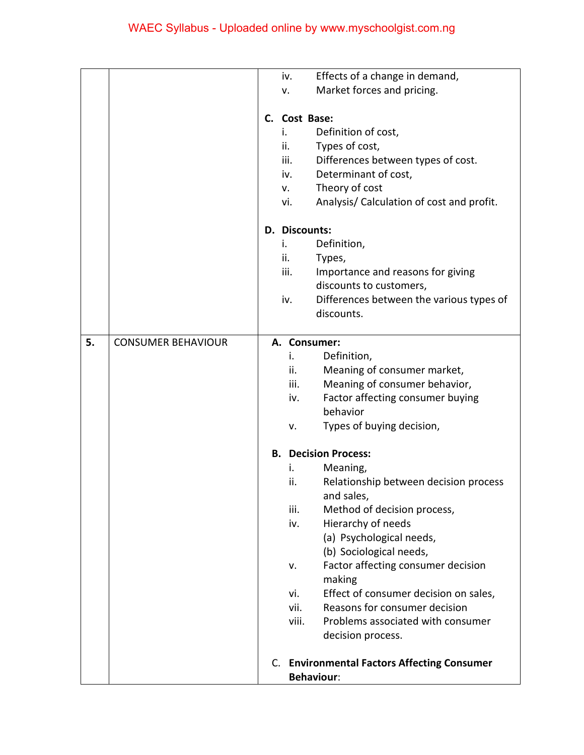|    |                           |                                | iv.           | Effects of a change in demand,                  |
|----|---------------------------|--------------------------------|---------------|-------------------------------------------------|
|    |                           |                                | v.            | Market forces and pricing.                      |
|    |                           |                                |               |                                                 |
|    |                           |                                | C. Cost Base: |                                                 |
|    |                           |                                | i.            | Definition of cost,                             |
|    |                           |                                | ii.           | Types of cost,                                  |
|    |                           |                                | iii.          | Differences between types of cost.              |
|    |                           |                                | iv.           | Determinant of cost,                            |
|    |                           |                                | V.            | Theory of cost                                  |
|    |                           |                                | vi.           | Analysis/ Calculation of cost and profit.       |
|    |                           |                                |               |                                                 |
|    |                           |                                | D. Discounts: |                                                 |
|    |                           |                                | i.            | Definition,                                     |
|    |                           |                                | ii.           | Types,                                          |
|    |                           |                                | iii.          | Importance and reasons for giving               |
|    |                           |                                |               | discounts to customers,                         |
|    |                           |                                | iv.           | Differences between the various types of        |
|    |                           |                                |               | discounts.                                      |
|    |                           |                                |               |                                                 |
| 5. | <b>CONSUMER BEHAVIOUR</b> |                                |               | A. Consumer:                                    |
|    |                           |                                | i.            | Definition,                                     |
|    |                           |                                | ii.           | Meaning of consumer market,                     |
|    |                           |                                | iii.          | Meaning of consumer behavior,                   |
|    |                           |                                | iv.           | Factor affecting consumer buying                |
|    |                           |                                |               | behavior                                        |
|    |                           |                                | v.            | Types of buying decision,                       |
|    |                           |                                |               |                                                 |
|    |                           | <b>Decision Process:</b><br>В. |               |                                                 |
|    |                           |                                | i.            | Meaning,                                        |
|    |                           |                                | ii.           | Relationship between decision process           |
|    |                           |                                |               | and sales,                                      |
|    |                           |                                | iii.          | Method of decision process,                     |
|    |                           |                                | iv.           | Hierarchy of needs                              |
|    |                           |                                |               | (a) Psychological needs,                        |
|    |                           |                                |               | (b) Sociological needs,                         |
|    |                           |                                | v.            | Factor affecting consumer decision              |
|    |                           |                                |               | making                                          |
|    |                           |                                | vi.           | Effect of consumer decision on sales,           |
|    |                           |                                | vii.          | Reasons for consumer decision                   |
|    |                           |                                | viii.         | Problems associated with consumer               |
|    |                           |                                |               | decision process.                               |
|    |                           |                                |               |                                                 |
|    |                           | C.                             |               | <b>Environmental Factors Affecting Consumer</b> |
|    |                           |                                |               | <b>Behaviour:</b>                               |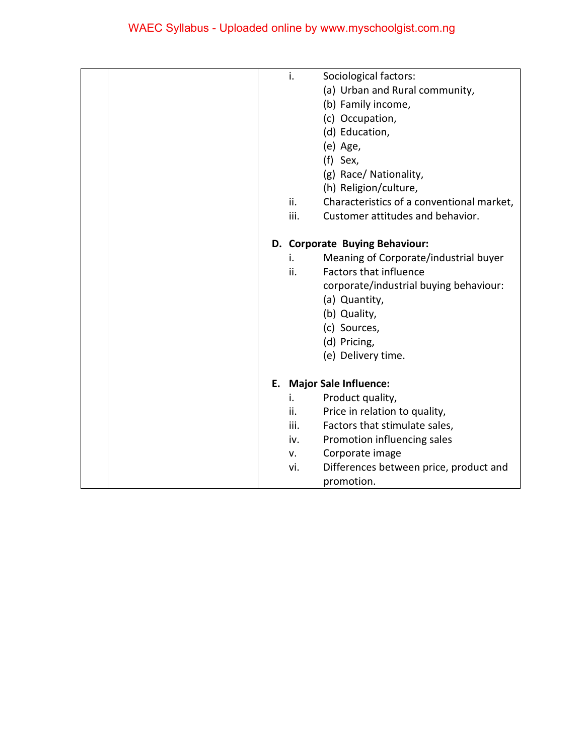|  | i.   | Sociological factors:                     |
|--|------|-------------------------------------------|
|  |      | (a) Urban and Rural community,            |
|  |      | (b) Family income,                        |
|  |      | (c) Occupation,                           |
|  |      | (d) Education,                            |
|  |      | (e) Age,                                  |
|  |      | (f) Sex,                                  |
|  |      | (g) Race/ Nationality,                    |
|  |      | (h) Religion/culture,                     |
|  | ii.  | Characteristics of a conventional market, |
|  | iii. | Customer attitudes and behavior.          |
|  |      | D. Corporate Buying Behaviour:            |
|  | i.   | Meaning of Corporate/industrial buyer     |
|  | ii.  | <b>Factors that influence</b>             |
|  |      | corporate/industrial buying behaviour:    |
|  |      | (a) Quantity,                             |
|  |      | (b) Quality,                              |
|  |      | (c) Sources,                              |
|  |      | (d) Pricing,                              |
|  |      | (e) Delivery time.                        |
|  |      | E. Major Sale Influence:                  |
|  | i.   | Product quality,                          |
|  | ii.  | Price in relation to quality,             |
|  | iii. | Factors that stimulate sales,             |
|  | iv.  | Promotion influencing sales               |
|  | v.   | Corporate image                           |
|  | vi.  | Differences between price, product and    |
|  |      | promotion.                                |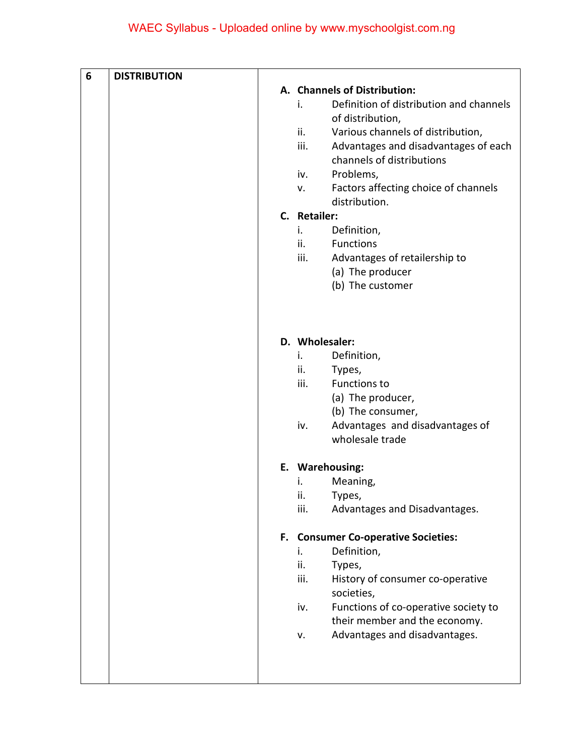| 6 | <b>DISTRIBUTION</b> |                                               |
|---|---------------------|-----------------------------------------------|
|   |                     | A. Channels of Distribution:                  |
|   |                     | Definition of distribution and channels<br>i. |
|   |                     | of distribution,                              |
|   |                     | Various channels of distribution,<br>ii.      |
|   |                     | iii.<br>Advantages and disadvantages of each  |
|   |                     | channels of distributions                     |
|   |                     | Problems,<br>iv.                              |
|   |                     | Factors affecting choice of channels<br>v.    |
|   |                     | distribution.                                 |
|   |                     | C. Retailer:                                  |
|   |                     | Definition,<br>i.                             |
|   |                     | ii.<br><b>Functions</b>                       |
|   |                     | iii.<br>Advantages of retailership to         |
|   |                     | (a) The producer                              |
|   |                     | (b) The customer                              |
|   |                     |                                               |
|   |                     |                                               |
|   |                     | D. Wholesaler:                                |
|   |                     | Definition,<br>i.                             |
|   |                     | ii.<br>Types,<br>iii.<br><b>Functions to</b>  |
|   |                     | (a) The producer,                             |
|   |                     | (b) The consumer,                             |
|   |                     | Advantages and disadvantages of<br>iv.        |
|   |                     | wholesale trade                               |
|   |                     |                                               |
|   |                     | E. Warehousing:                               |
|   |                     | Meaning,<br>i.                                |
|   |                     | ii.<br>Types,                                 |
|   |                     | iii.<br>Advantages and Disadvantages.         |
|   |                     | F. Consumer Co-operative Societies:           |
|   |                     | Definition,<br>i.                             |
|   |                     | ii.<br>Types,                                 |
|   |                     | iii.<br>History of consumer co-operative      |
|   |                     | societies,                                    |
|   |                     | Functions of co-operative society to<br>iv.   |
|   |                     | their member and the economy.                 |
|   |                     | Advantages and disadvantages.<br>v.           |
|   |                     |                                               |
|   |                     |                                               |
|   |                     |                                               |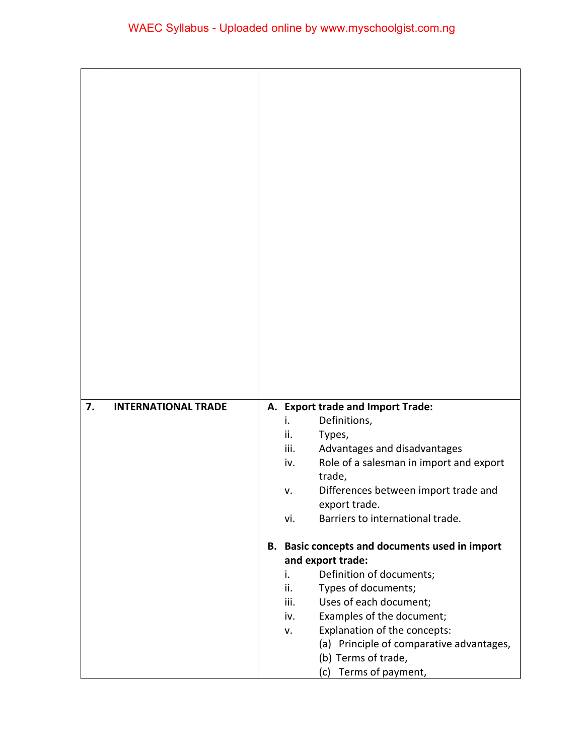| 7. | <b>INTERNATIONAL TRADE</b> | A. Export trade and Import Trade:<br>Definitions,<br>i.            |
|----|----------------------------|--------------------------------------------------------------------|
|    |                            | ii.<br>Types,                                                      |
|    |                            | iii.<br>Advantages and disadvantages                               |
|    |                            | Role of a salesman in import and export<br>iv.                     |
|    |                            | trade,                                                             |
|    |                            | Differences between import trade and<br>v.                         |
|    |                            | export trade.<br>Barriers to international trade.<br>vi.           |
|    |                            |                                                                    |
|    |                            | B. Basic concepts and documents used in import                     |
|    |                            | and export trade:                                                  |
|    |                            | Definition of documents;<br>i.                                     |
|    |                            | ii.<br>Types of documents;                                         |
|    |                            | Uses of each document;<br>iii.<br>Examples of the document;<br>iv. |
|    |                            | Explanation of the concepts:<br>v.                                 |
|    |                            | (a) Principle of comparative advantages,                           |
|    |                            | (b) Terms of trade,                                                |
|    |                            | (c) Terms of payment,                                              |